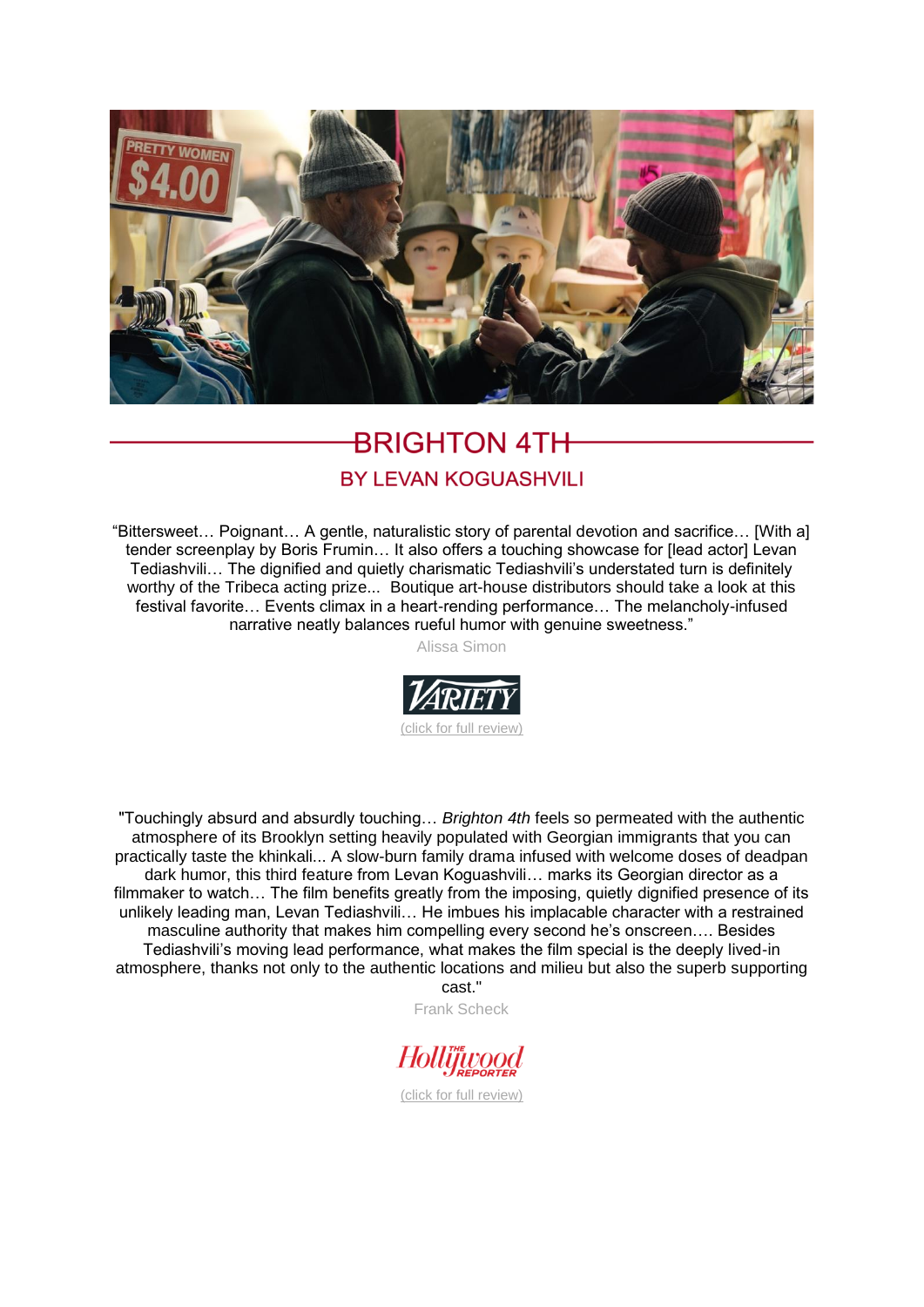

## **BRIGHTON 4TH**

## **BY LEVAN KOGUASHVILI**

"Bittersweet… Poignant… A gentle, naturalistic story of parental devotion and sacrifice… [With a] tender screenplay by Boris Frumin... It also offers a touching showcase for [lead actor] Levan Tediashvili… The dignified and quietly charismatic Tediashvili's understated turn is definitely worthy of the Tribeca acting prize... Boutique art-house distributors should take a look at this festival favorite… Events climax in a heart-rending performance… The melancholy-infused narrative neatly balances rueful humor with genuine sweetness."

Alissa Simon



"Touchingly absurd and absurdly touching… *Brighton 4th* feels so permeated with the authentic atmosphere of its Brooklyn setting heavily populated with Georgian immigrants that you can practically taste the khinkali... A slow-burn family drama infused with welcome doses of deadpan dark humor, this third feature from Levan Koguashvili… marks its Georgian director as a filmmaker to watch… The film benefits greatly from the imposing, quietly dignified presence of its unlikely leading man, Levan Tediashvili… He imbues his implacable character with a restrained masculine authority that makes him compelling every second he's onscreen…. Besides Tediashvili's moving lead performance, what makes the film special is the deeply lived-in atmosphere, thanks not only to the authentic locations and milieu but also the superb supporting cast."

Frank Scheck

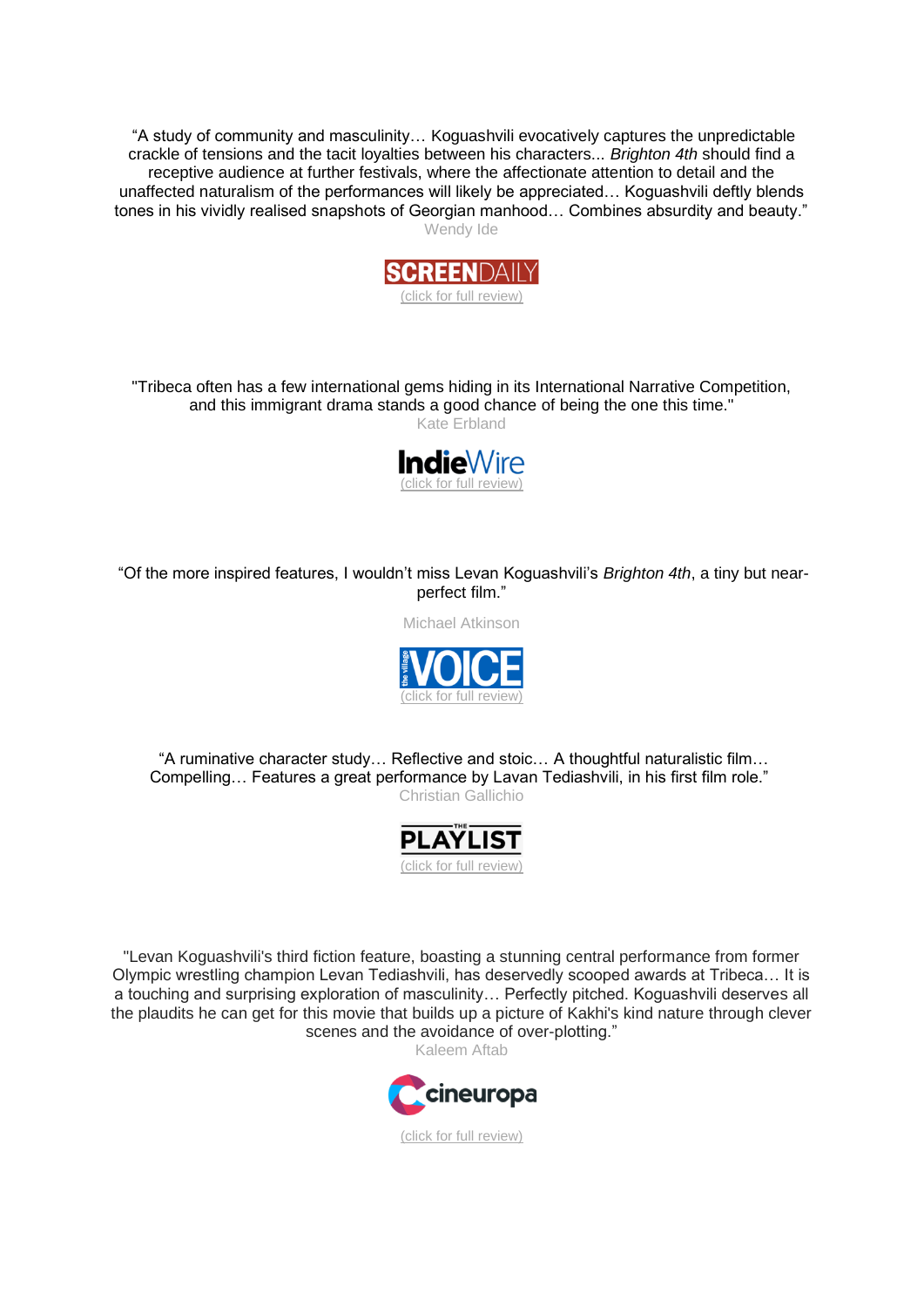"A study of community and masculinity… Koguashvili evocatively captures the unpredictable crackle of tensions and the tacit loyalties between his characters... *Brighton 4th* should find a receptive audience at further festivals, where the affectionate attention to detail and the unaffected naturalism of the performances will likely be appreciated… Koguashvili deftly blends tones in his vividly realised snapshots of Georgian manhood… Combines absurdity and beauty." Wendy Ide



"Tribeca often has a few international gems hiding in its International Narrative Competition, and this immigrant drama stands a good chance of being the one this time."

Kate Erbland



"Of the more inspired features, I wouldn't miss Levan Koguashvili's *Brighton 4th*, a tiny but nearperfect film."

Michael Atkinson



"A ruminative character study… Reflective and stoic… A thoughtful naturalistic film… Compelling… Features a great performance by Lavan Tediashvili, in his first film role." Christian Gallichio



"Levan Koguashvili's third fiction feature, boasting a stunning central performance from former Olympic wrestling champion Levan Tediashvili, has deservedly scooped awards at Tribeca… It is a touching and surprising exploration of masculinity… Perfectly pitched. Koguashvili deserves all the plaudits he can get for this movie that builds up a picture of Kakhi's kind nature through clever scenes and the avoidance of over-plotting."

Kaleem Aftab

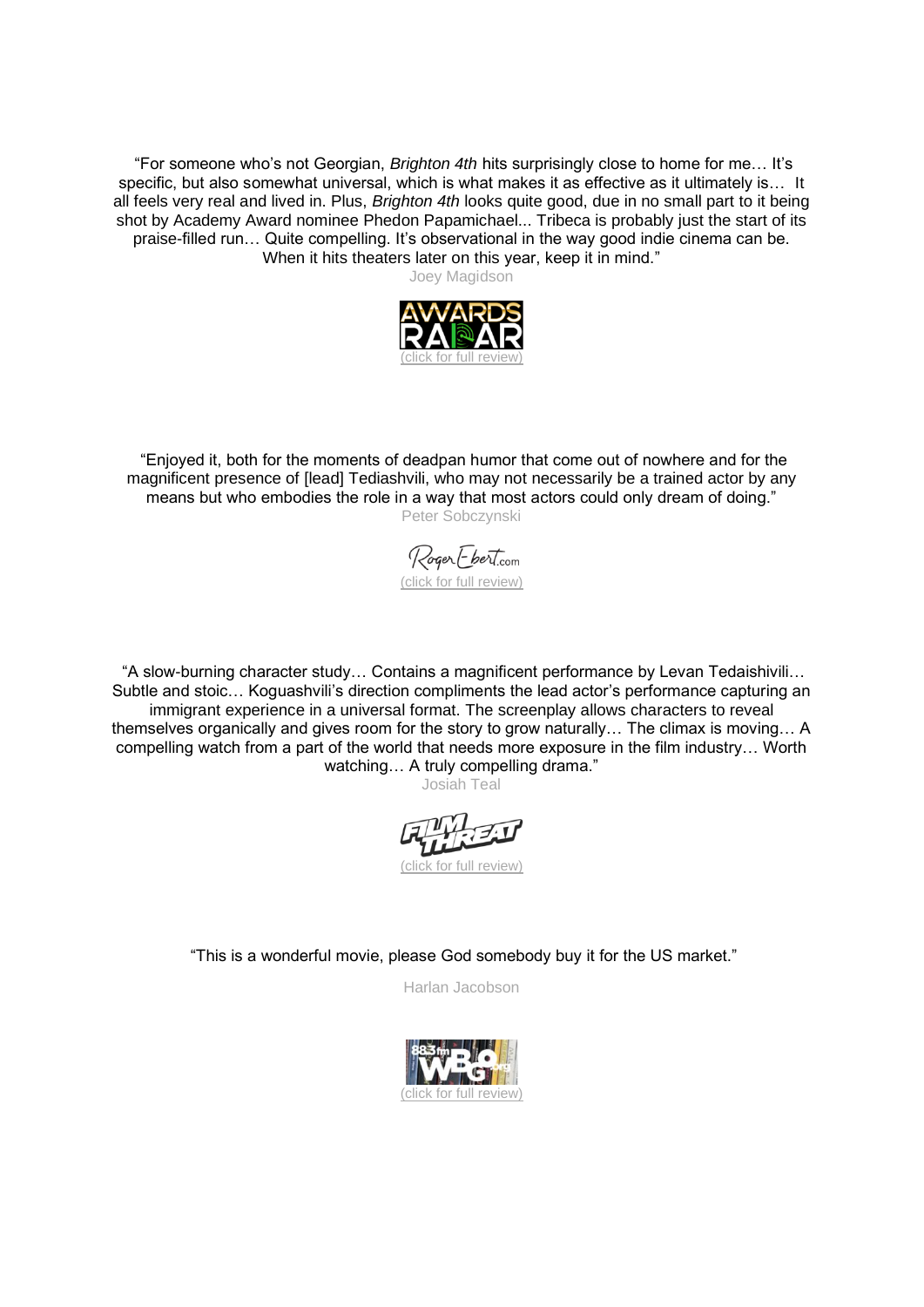"For someone who's not Georgian, *Brighton 4th* hits surprisingly close to home for me… It's specific, but also somewhat universal, which is what makes it as effective as it ultimately is... It all feels very real and lived in. Plus, *Brighton 4th* looks quite good, due in no small part to it being shot by Academy Award nominee Phedon Papamichael... Tribeca is probably just the start of its praise-filled run… Quite compelling. It's observational in the way good indie cinema can be. When it hits theaters later on this year, keep it in mind."

Joey Magidson



"Enjoyed it, both for the moments of deadpan humor that come out of nowhere and for the magnificent presence of [lead] Tediashvili, who may not necessarily be a trained actor by any means but who embodies the role in a way that most actors could only dream of doing." Peter Sobczynski

Roger Ebert.com [\(click for full review\)](https://www.rogerebert.com/festivals/tribeca-the-narratives-2021)

"A slow-burning character study… Contains a magnificent performance by Levan Tedaishivili… Subtle and stoic… Koguashvili's direction compliments the lead actor's performance capturing an immigrant experience in a universal format. The screenplay allows characters to reveal themselves organically and gives room for the story to grow naturally… The climax is moving… A compelling watch from a part of the world that needs more exposure in the film industry… Worth watching... A truly compelling drama."

Josiah Teal

[\(click for full review\)](https://filmthreat.com/reviews/brighton-4th/)

"This is a wonderful movie, please God somebody buy it for the US market."

Harlan Jacobson

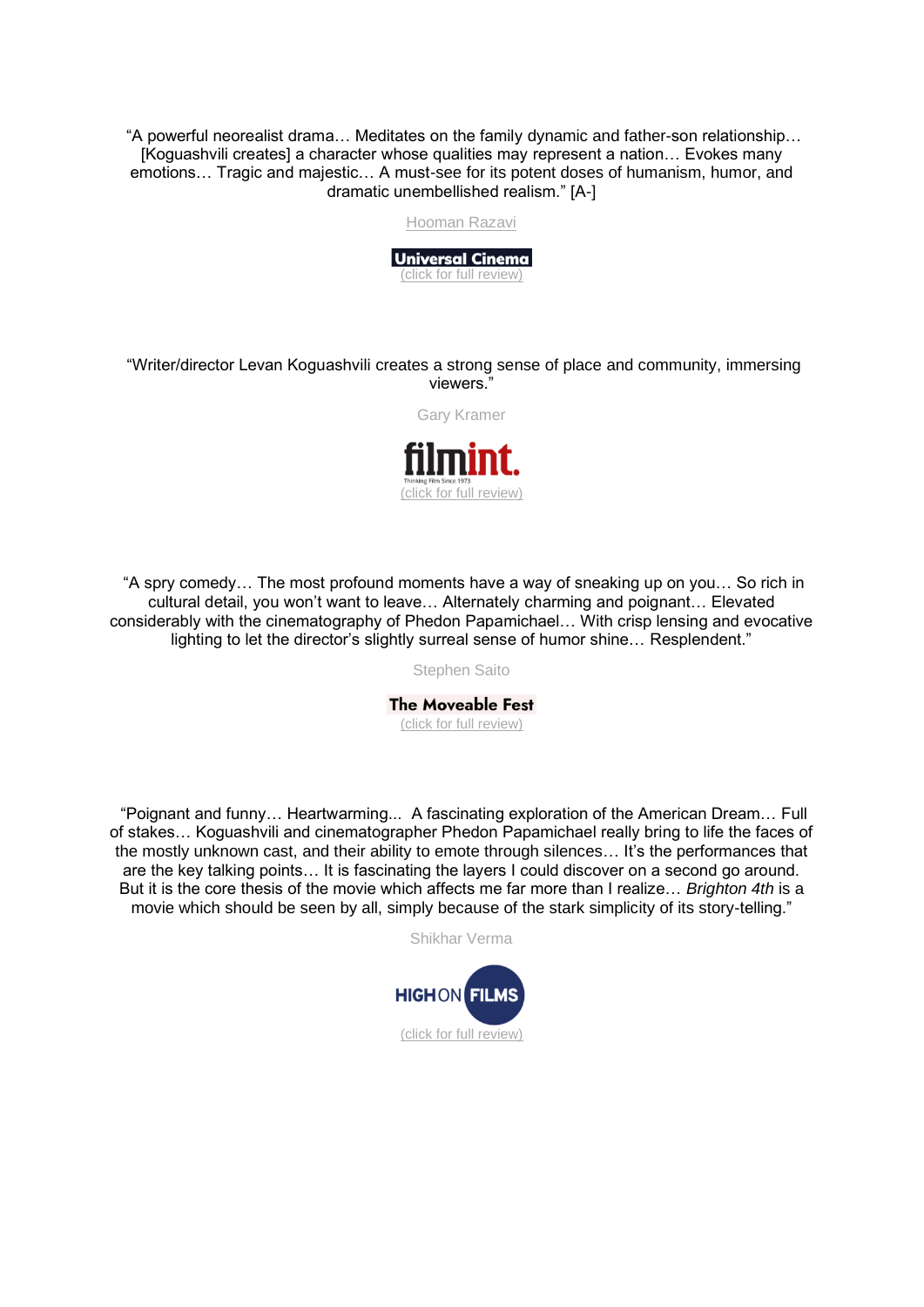"A powerful neorealist drama… Meditates on the family dynamic and father-son relationship… [Koguashvili creates] a character whose qualities may represent a nation… Evokes many emotions… Tragic and majestic… A must-see for its potent doses of humanism, humor, and dramatic unembellished realism." [A-]

Hooman Razavi



"Writer/director Levan Koguashvili creates a strong sense of place and community, immersing viewers."

Gary Kramer



"A spry comedy… The most profound moments have a way of sneaking up on you… So rich in cultural detail, you won't want to leave… Alternately charming and poignant… Elevated considerably with the cinematography of Phedon Papamichael… With crisp lensing and evocative lighting to let the director's slightly surreal sense of humor shine… Resplendent."

Stephen Saito

**The Moveable Fest** [\(click for full review\)](https://moveablefest.com/levan-koguashvili-brighton-4th/)

"Poignant and funny… Heartwarming... A fascinating exploration of the American Dream… Full of stakes… Koguashvili and cinematographer Phedon Papamichael really bring to life the faces of the mostly unknown cast, and their ability to emote through silences… It's the performances that are the key talking points… It is fascinating the layers I could discover on a second go around. But it is the core thesis of the movie which affects me far more than I realize… *Brighton 4th* is a movie which should be seen by all, simply because of the stark simplicity of its story-telling."

Shikhar Verma

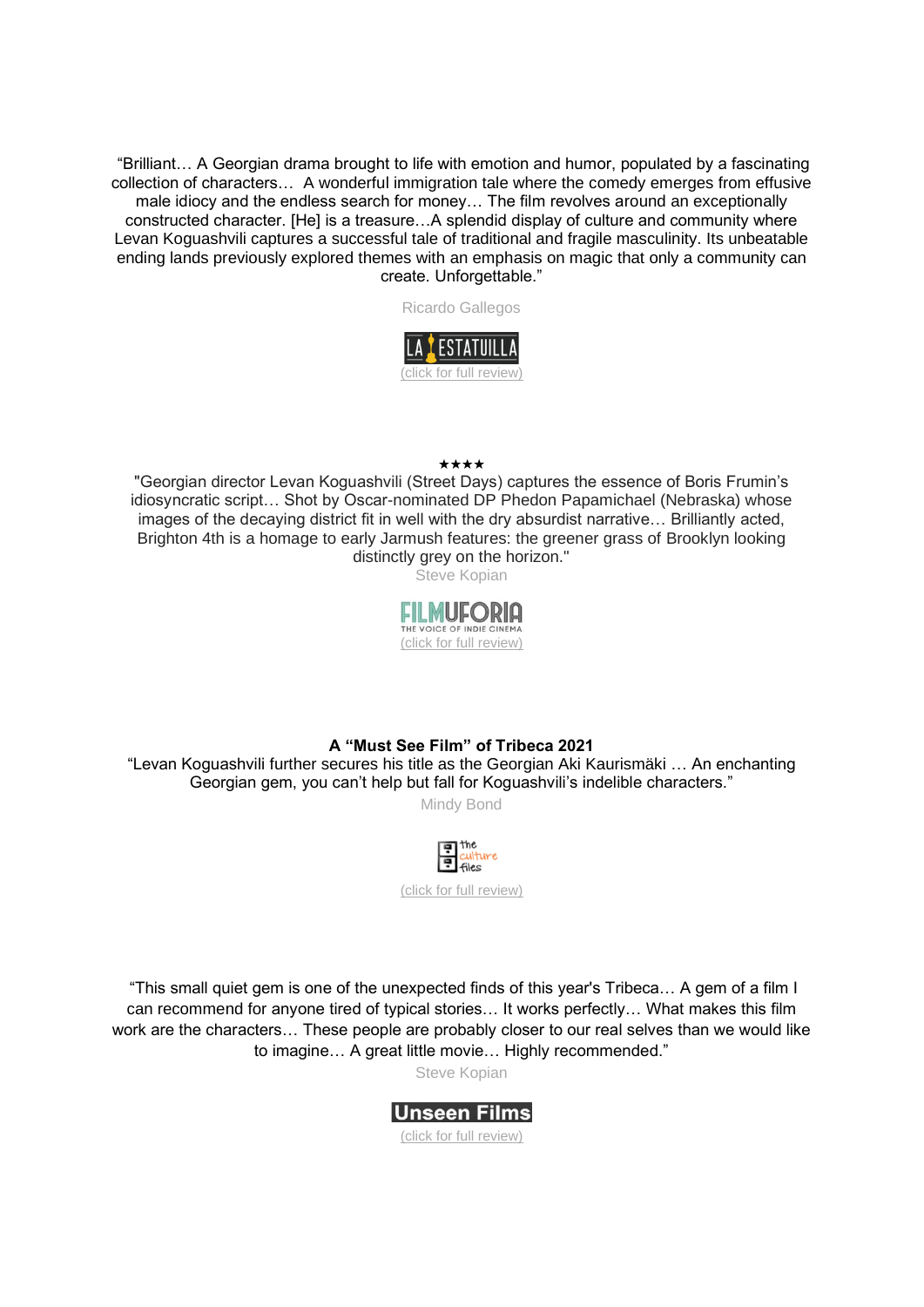"Brilliant… A Georgian drama brought to life with emotion and humor, populated by a fascinating collection of characters… A wonderful immigration tale where the comedy emerges from effusive male idiocy and the endless search for money… The film revolves around an exceptionally constructed character. [He] is a treasure…A splendid display of culture and community where Levan Koguashvili captures a successful tale of traditional and fragile masculinity. Its unbeatable ending lands previously explored themes with an emphasis on magic that only a community can create. Unforgettable."



## ★★★★

"Georgian director Levan Koguashvili (Street Days) captures the essence of Boris Frumin's idiosyncratic script… Shot by Oscar-nominated DP Phedon Papamichael (Nebraska) whose images of the decaying district fit in well with the dry absurdist narrative… Brilliantly acted, Brighton 4th is a homage to early Jarmush features: the greener grass of Brooklyn looking distinctly grey on the horizon."

Steve Kopian



## **A "Must See Film" of Tribeca 2021**

"Levan Koguashvili further secures his title as the Georgian Aki Kaurismäki … An enchanting Georgian gem, you can't help but fall for Koguashvili's indelible characters."

Mindy Bond



"This small quiet gem is one of the unexpected finds of this year's Tribeca… A gem of a film I can recommend for anyone tired of typical stories… It works perfectly… What makes this film work are the characters… These people are probably closer to our real selves than we would like to imagine… A great little movie… Highly recommended."

Steve Kopian